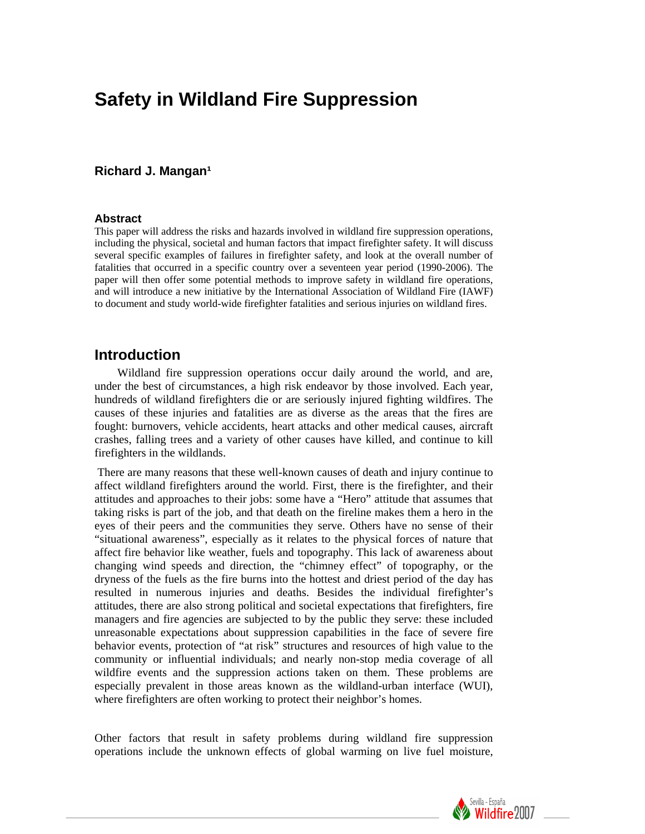# **Safety in Wildland Fire Suppression**

### **Richard J. Mangan<sup>1</sup>**

#### **Abstract**

This paper will address the risks and hazards involved in wildland fire suppression operations, including the physical, societal and human factors that impact firefighter safety. It will discuss several specific examples of failures in firefighter safety, and look at the overall number of fatalities that occurred in a specific country over a seventeen year period (1990-2006). The paper will then offer some potential methods to improve safety in wildland fire operations, and will introduce a new initiative by the International Association of Wildland Fire (IAWF) to document and study world-wide firefighter fatalities and serious injuries on wildland fires.

# **Introduction**

Wildland fire suppression operations occur daily around the world, and are, under the best of circumstances, a high risk endeavor by those involved. Each year, hundreds of wildland firefighters die or are seriously injured fighting wildfires. The causes of these injuries and fatalities are as diverse as the areas that the fires are fought: burnovers, vehicle accidents, heart attacks and other medical causes, aircraft crashes, falling trees and a variety of other causes have killed, and continue to kill firefighters in the wildlands.

 There are many reasons that these well-known causes of death and injury continue to affect wildland firefighters around the world. First, there is the firefighter, and their attitudes and approaches to their jobs: some have a "Hero" attitude that assumes that taking risks is part of the job, and that death on the fireline makes them a hero in the eyes of their peers and the communities they serve. Others have no sense of their "situational awareness", especially as it relates to the physical forces of nature that affect fire behavior like weather, fuels and topography. This lack of awareness about changing wind speeds and direction, the "chimney effect" of topography, or the dryness of the fuels as the fire burns into the hottest and driest period of the day has resulted in numerous injuries and deaths. Besides the individual firefighter's attitudes, there are also strong political and societal expectations that firefighters, fire managers and fire agencies are subjected to by the public they serve: these included unreasonable expectations about suppression capabilities in the face of severe fire behavior events, protection of "at risk" structures and resources of high value to the community or influential individuals; and nearly non-stop media coverage of all wildfire events and the suppression actions taken on them. These problems are especially prevalent in those areas known as the wildland-urban interface (WUI), where firefighters are often working to protect their neighbor's homes.

Other factors that result in safety problems during wildland fire suppression operations include the unknown effects of global warming on live fuel moisture,

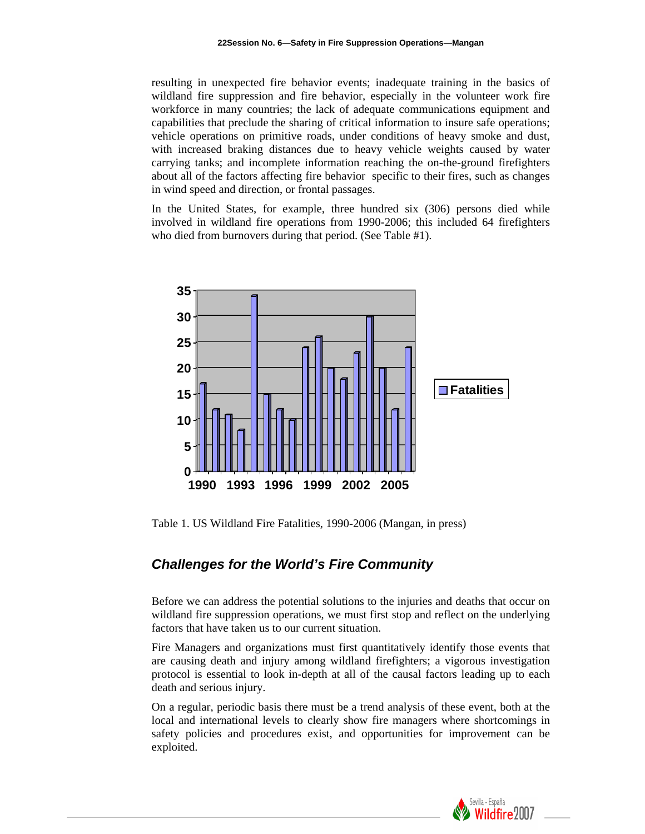resulting in unexpected fire behavior events; inadequate training in the basics of wildland fire suppression and fire behavior, especially in the volunteer work fire workforce in many countries; the lack of adequate communications equipment and capabilities that preclude the sharing of critical information to insure safe operations; vehicle operations on primitive roads, under conditions of heavy smoke and dust, with increased braking distances due to heavy vehicle weights caused by water carrying tanks; and incomplete information reaching the on-the-ground firefighters about all of the factors affecting fire behavior specific to their fires, such as changes in wind speed and direction, or frontal passages.

In the United States, for example, three hundred six (306) persons died while involved in wildland fire operations from 1990-2006; this included 64 firefighters who died from burnovers during that period. (See Table #1).



Table 1. US Wildland Fire Fatalities, 1990-2006 (Mangan, in press)

# *Challenges for the World's Fire Community*

Before we can address the potential solutions to the injuries and deaths that occur on wildland fire suppression operations, we must first stop and reflect on the underlying factors that have taken us to our current situation.

Fire Managers and organizations must first quantitatively identify those events that are causing death and injury among wildland firefighters; a vigorous investigation protocol is essential to look in-depth at all of the causal factors leading up to each death and serious injury.

On a regular, periodic basis there must be a trend analysis of these event, both at the local and international levels to clearly show fire managers where shortcomings in safety policies and procedures exist, and opportunities for improvement can be exploited.

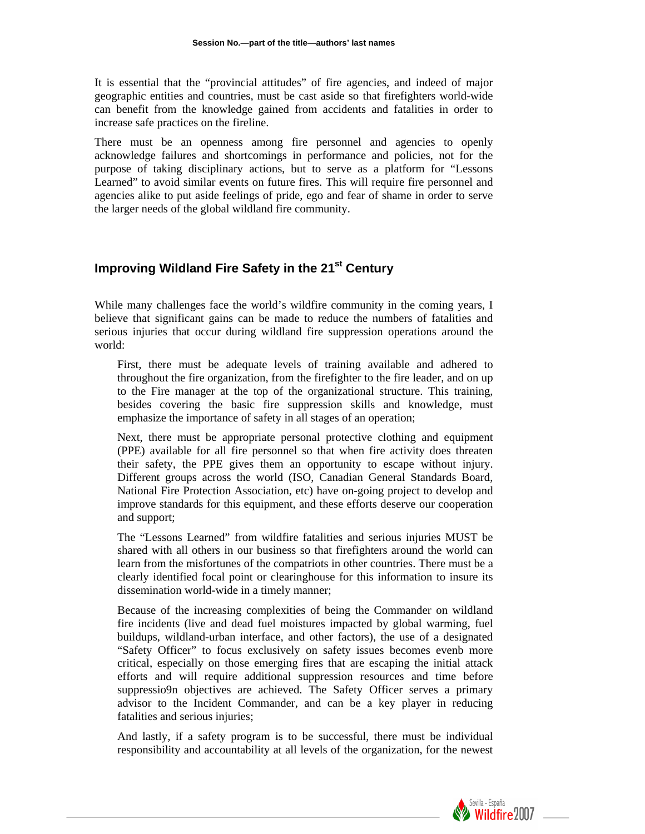It is essential that the "provincial attitudes" of fire agencies, and indeed of major geographic entities and countries, must be cast aside so that firefighters world-wide can benefit from the knowledge gained from accidents and fatalities in order to increase safe practices on the fireline.

There must be an openness among fire personnel and agencies to openly acknowledge failures and shortcomings in performance and policies, not for the purpose of taking disciplinary actions, but to serve as a platform for "Lessons Learned" to avoid similar events on future fires. This will require fire personnel and agencies alike to put aside feelings of pride, ego and fear of shame in order to serve the larger needs of the global wildland fire community.

# **Improving Wildland Fire Safety in the 21<sup>st</sup> Century**

While many challenges face the world's wildfire community in the coming years, I believe that significant gains can be made to reduce the numbers of fatalities and serious injuries that occur during wildland fire suppression operations around the world:

First, there must be adequate levels of training available and adhered to throughout the fire organization, from the firefighter to the fire leader, and on up to the Fire manager at the top of the organizational structure. This training, besides covering the basic fire suppression skills and knowledge, must emphasize the importance of safety in all stages of an operation;

Next, there must be appropriate personal protective clothing and equipment (PPE) available for all fire personnel so that when fire activity does threaten their safety, the PPE gives them an opportunity to escape without injury. Different groups across the world (ISO, Canadian General Standards Board, National Fire Protection Association, etc) have on-going project to develop and improve standards for this equipment, and these efforts deserve our cooperation and support;

The "Lessons Learned" from wildfire fatalities and serious injuries MUST be shared with all others in our business so that firefighters around the world can learn from the misfortunes of the compatriots in other countries. There must be a clearly identified focal point or clearinghouse for this information to insure its dissemination world-wide in a timely manner;

Because of the increasing complexities of being the Commander on wildland fire incidents (live and dead fuel moistures impacted by global warming, fuel buildups, wildland-urban interface, and other factors), the use of a designated "Safety Officer" to focus exclusively on safety issues becomes evenb more critical, especially on those emerging fires that are escaping the initial attack efforts and will require additional suppression resources and time before suppressio9n objectives are achieved. The Safety Officer serves a primary advisor to the Incident Commander, and can be a key player in reducing fatalities and serious injuries;

And lastly, if a safety program is to be successful, there must be individual responsibility and accountability at all levels of the organization, for the newest

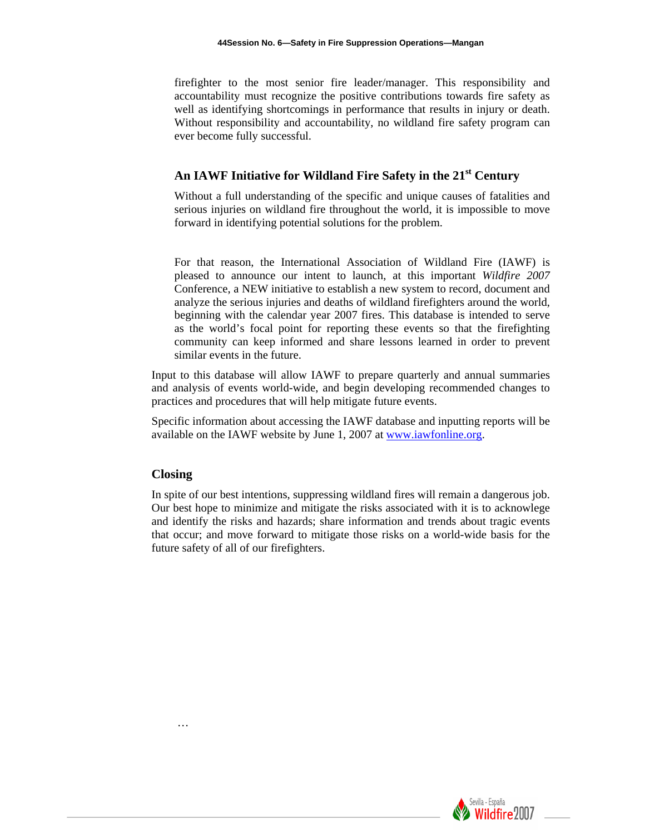firefighter to the most senior fire leader/manager. This responsibility and accountability must recognize the positive contributions towards fire safety as well as identifying shortcomings in performance that results in injury or death. Without responsibility and accountability, no wildland fire safety program can ever become fully successful.

# **An IAWF Initiative for Wildland Fire Safety in the 21st Century**

Without a full understanding of the specific and unique causes of fatalities and serious injuries on wildland fire throughout the world, it is impossible to move forward in identifying potential solutions for the problem.

For that reason, the International Association of Wildland Fire (IAWF) is pleased to announce our intent to launch, at this important *Wildfire 2007* Conference, a NEW initiative to establish a new system to record, document and analyze the serious injuries and deaths of wildland firefighters around the world, beginning with the calendar year 2007 fires. This database is intended to serve as the world's focal point for reporting these events so that the firefighting community can keep informed and share lessons learned in order to prevent similar events in the future.

Input to this database will allow IAWF to prepare quarterly and annual summaries and analysis of events world-wide, and begin developing recommended changes to practices and procedures that will help mitigate future events.

Specific information about accessing the IAWF database and inputting reports will be available on the IAWF website by June 1, 2007 at [www.iawfonline.org.](http://www.iawfonline.org/)

### **Closing**

In spite of our best intentions, suppressing wildland fires will remain a dangerous job. Our best hope to minimize and mitigate the risks associated with it is to acknowlege and identify the risks and hazards; share information and trends about tragic events that occur; and move forward to mitigate those risks on a world-wide basis for the future safety of all of our firefighters.



…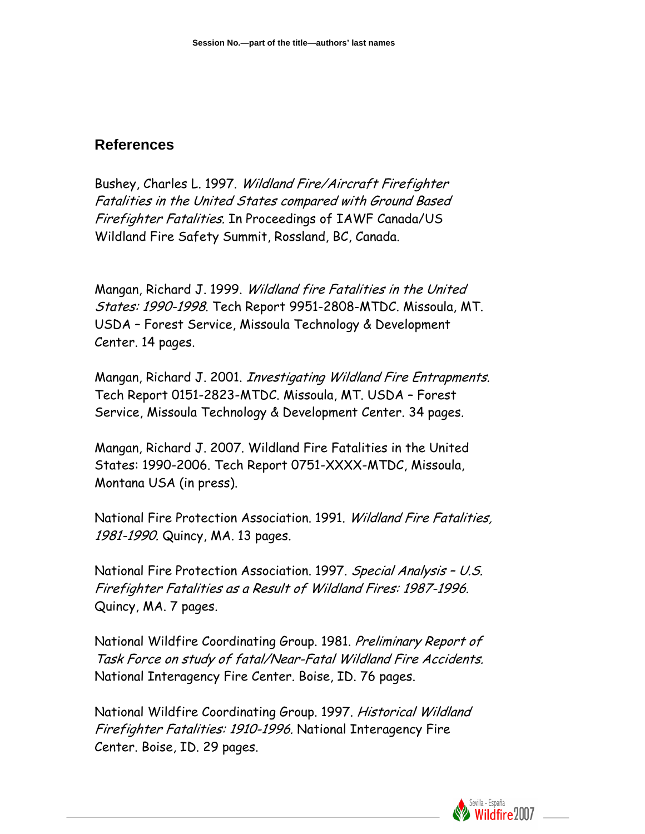# **References**

Bushey, Charles L. 1997. Wildland Fire/Aircraft Firefighter Fatalities in the United States compared with Ground Based Firefighter Fatalities. In Proceedings of IAWF Canada/US Wildland Fire Safety Summit, Rossland, BC, Canada.

Mangan, Richard J. 1999. Wildland fire Fatalities in the United States: 1990-1998. Tech Report 9951-2808-MTDC. Missoula, MT. USDA – Forest Service, Missoula Technology & Development Center. 14 pages.

Mangan, Richard J. 2001. Investigating Wildland Fire Entrapments. Tech Report 0151-2823-MTDC. Missoula, MT. USDA – Forest Service, Missoula Technology & Development Center. 34 pages.

Mangan, Richard J. 2007. Wildland Fire Fatalities in the United States: 1990-2006. Tech Report 0751-XXXX-MTDC, Missoula, Montana USA (in press).

National Fire Protection Association. 1991. Wildland Fire Fatalities, 1981-1990. Quincy, MA. 13 pages.

National Fire Protection Association. 1997. Special Analysis – U.S. Firefighter Fatalities as a Result of Wildland Fires: 1987-1996. Quincy, MA. 7 pages.

National Wildfire Coordinating Group. 1981. Preliminary Report of Task Force on study of fatal/Near-Fatal Wildland Fire Accidents. National Interagency Fire Center. Boise, ID. 76 pages.

National Wildfire Coordinating Group. 1997. Historical Wildland Firefighter Fatalities: 1910-1996. National Interagency Fire Center. Boise, ID. 29 pages.